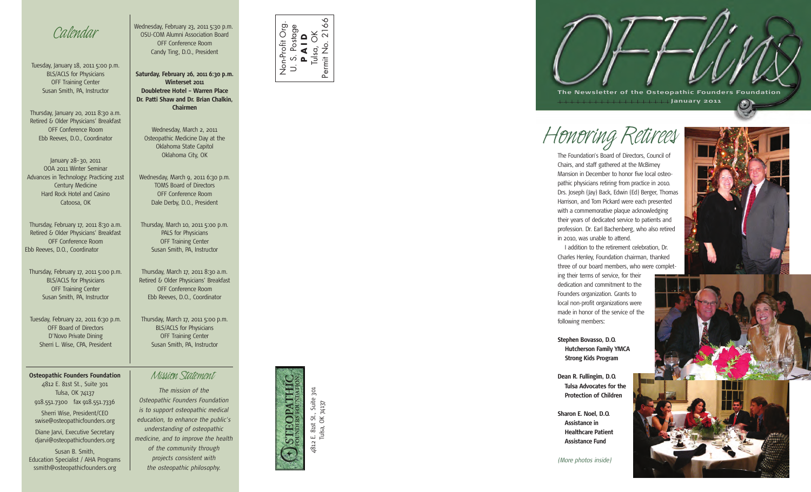

Tuesday, January 18, 2011 5:00 p.m. BLS/ACLS for Physicians OFF Training Center Susan Smith, PA, Instructor

Thursday, January 20, 2011 8:30 a.m. Retired & Older Physicians' Breakfast OFF Conference Room Ebb Reeves, D.O., Coordinator

January 28–30, 2011 OOA 2011 Winter Seminar Advances in Technology: Practicing 21st Century Medicine Hard Rock Hotel and Casino Catoosa, OK

Thursday, February 17, 2011 8:30 a.m. Retired & Older Physicians' Breakfast OFF Conference Room Ebb Reeves, D.O., Coordinator

Thursday, February 17, 2011 5:00 p.m. BLS/ACLS for Physicians OFF Training Center Susan Smith, PA, Instructor

Tuesday, February 22, 2011 6:30 p.m. OFF Board of Directors D'Novo Private Dining Sherri L. Wise, CPA, President

## **Osteopathic Founders Foundation** *Mission Statement*

4812 E. 81st St., Suite 301 Tulsa, OK 74137 918.551.7300 fax 918.551.7336 Sherri Wise, President/CEO swise@osteopathicfounders.org

Diane Jarvi, Executive Secretary djarvi@osteopathicfounders.org

Susan B. Smith, Education Specialist / AHA Programs ssmith@osteopathicfounders.org

Wednesday, February 23, 2011 5:30 p.m. OSU-COM Alumni Association Board OFF Conference Room Candy Ting, D.O., President

**Saturday, February 26, 2011 6:30 p.m. Winterset 2011 Doubletree Hotel – Warren Place Dr. Patti Shaw and Dr. Brian Chalkin, Chairmen**

Wednesday, March 2, 2011 Osteopathic Medicine Day at the Oklahoma State Capitol Oklahoma City, OK

Wednesday, March 9, 2011 6:30 p.m. TOMS Board of Directors OFF Conference Room Dale Derby, D.O., President

Thursday, March 10, 2011 5:00 p.m. PALS for Physicians OFF Training Center Susan Smith, PA, Instructor

Thursday, March 17, 2011 8:30 a.m. Retired & Older Physicians' Breakfast OFF Conference Room Ebb Reeves, D.O., Coordinator

Thursday, March 17, 2011 5:00 p.m. BLS/ACLS for Physicians OFF Training Center Susan Smith, PA, Instructor

*The mission of the Osteopathic Founders Foundation is to support osteopathic medical education, to enhance the public's understanding of osteopathic medicine, and to improve the health of the community through projects consistent with the osteopathic philosophy.*



 $80$ Permit No. 2166 Non-Profit Org. Non-Profit Org U. S. Postage **P A I D** Tulsa, OK



Tulsa, OK 74137



## *Honoring Retirees*

The Foundation's Board of Directors, Council of Chairs, and staff gathered at the McBirney Mansion in December to honor five local osteopathic physicians retiring from practice in 2010. Drs. Joseph (Jay) Back, Edwin (Ed) Berger, Thomas Harrison, and Tom Pickard were each presented with a commemorative plaque acknowledging their years of dedicated service to patients and profession. Dr. Earl Bachenberg, who also retired in 2010, was unable to attend.

I addition to the retirement celebration, Dr. Charles Henley, Foundation chairman, thanked three of our board members, who were complet-

ing their terms of service, for their dedication and commitment to the Founders organization. Grants to local non-profit organizations were made in honor of the service of the following members:

**Stephen Bovasso, D.O. Hutcherson Family YMCA Strong Kids Program**

**Dean R. Fullingim, D.O. Tulsa Advocates for the Protection of Children**

**Sharon E. Noel, D.O. Assistance in Healthcare Patient Assistance Fund**

*(More photos inside)*